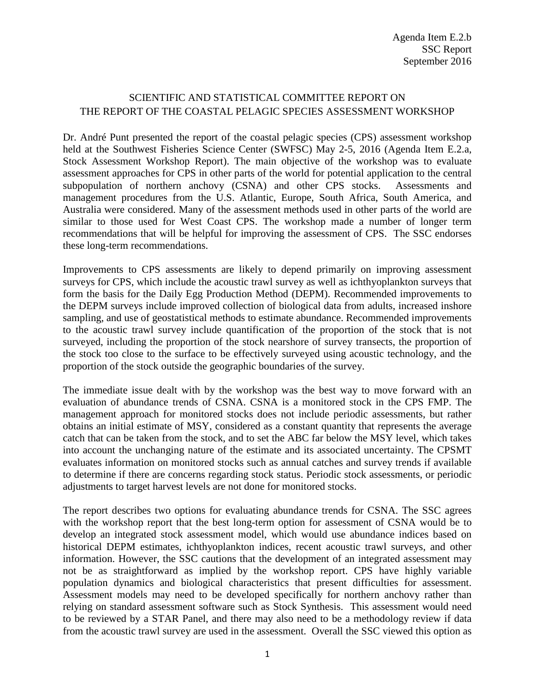## SCIENTIFIC AND STATISTICAL COMMITTEE REPORT ON THE REPORT OF THE COASTAL PELAGIC SPECIES ASSESSMENT WORKSHOP

Dr. André Punt presented the report of the coastal pelagic species (CPS) assessment workshop held at the Southwest Fisheries Science Center (SWFSC) May 2-5, 2016 (Agenda Item E.2.a, Stock Assessment Workshop Report). The main objective of the workshop was to evaluate assessment approaches for CPS in other parts of the world for potential application to the central subpopulation of northern anchovy (CSNA) and other CPS stocks. Assessments and management procedures from the U.S. Atlantic, Europe, South Africa, South America, and Australia were considered. Many of the assessment methods used in other parts of the world are similar to those used for West Coast CPS. The workshop made a number of longer term recommendations that will be helpful for improving the assessment of CPS. The SSC endorses these long-term recommendations.

Improvements to CPS assessments are likely to depend primarily on improving assessment surveys for CPS, which include the acoustic trawl survey as well as ichthyoplankton surveys that form the basis for the Daily Egg Production Method (DEPM). Recommended improvements to the DEPM surveys include improved collection of biological data from adults, increased inshore sampling, and use of geostatistical methods to estimate abundance. Recommended improvements to the acoustic trawl survey include quantification of the proportion of the stock that is not surveyed, including the proportion of the stock nearshore of survey transects, the proportion of the stock too close to the surface to be effectively surveyed using acoustic technology, and the proportion of the stock outside the geographic boundaries of the survey.

The immediate issue dealt with by the workshop was the best way to move forward with an evaluation of abundance trends of CSNA. CSNA is a monitored stock in the CPS FMP. The management approach for monitored stocks does not include periodic assessments, but rather obtains an initial estimate of MSY, considered as a constant quantity that represents the average catch that can be taken from the stock, and to set the ABC far below the MSY level, which takes into account the unchanging nature of the estimate and its associated uncertainty. The CPSMT evaluates information on monitored stocks such as annual catches and survey trends if available to determine if there are concerns regarding stock status. Periodic stock assessments, or periodic adjustments to target harvest levels are not done for monitored stocks.

The report describes two options for evaluating abundance trends for CSNA. The SSC agrees with the workshop report that the best long-term option for assessment of CSNA would be to develop an integrated stock assessment model, which would use abundance indices based on historical DEPM estimates, ichthyoplankton indices, recent acoustic trawl surveys, and other information. However, the SSC cautions that the development of an integrated assessment may not be as straightforward as implied by the workshop report. CPS have highly variable population dynamics and biological characteristics that present difficulties for assessment. Assessment models may need to be developed specifically for northern anchovy rather than relying on standard assessment software such as Stock Synthesis. This assessment would need to be reviewed by a STAR Panel, and there may also need to be a methodology review if data from the acoustic trawl survey are used in the assessment. Overall the SSC viewed this option as